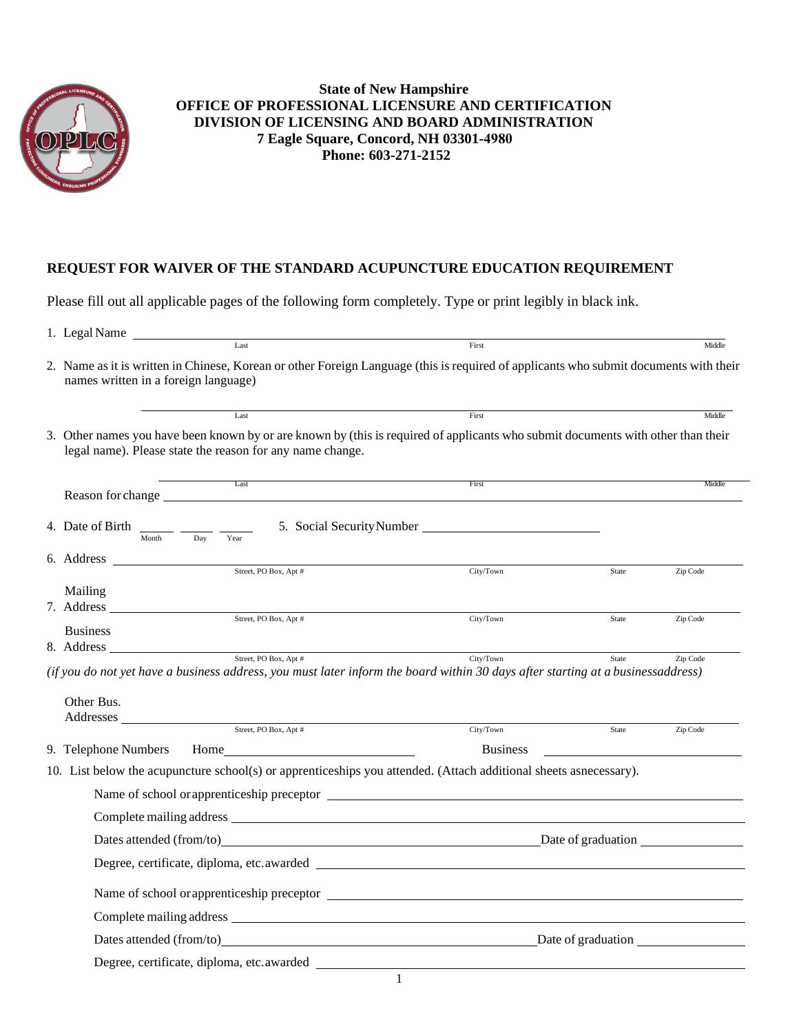

## **REQUEST FOR WAIVER OF THE STANDARD ACUPUNCTURE EDUCATION REQUIREMENT**

Please fill out all applicable pages of the following form completely. Type or print legibly in black ink.

| 1. Legal Name                                                                                                                                                                                                                                                                                                                                      |                                                                  |                   |
|----------------------------------------------------------------------------------------------------------------------------------------------------------------------------------------------------------------------------------------------------------------------------------------------------------------------------------------------------|------------------------------------------------------------------|-------------------|
| Last                                                                                                                                                                                                                                                                                                                                               | First                                                            | Middle            |
| 2. Name as it is written in Chinese, Korean or other Foreign Language (this is required of applicants who submit documents with their<br>names written in a foreign language)                                                                                                                                                                      |                                                                  |                   |
| Last                                                                                                                                                                                                                                                                                                                                               | First                                                            | Middle            |
| 3. Other names you have been known by or are known by (this is required of applicants who submit documents with other than their<br>legal name). Please state the reason for any name change.                                                                                                                                                      |                                                                  |                   |
| Last<br>Reason for change                                                                                                                                                                                                                                                                                                                          | First                                                            | Middle            |
| 4. Date of Birth<br>Month<br>Dav<br>Year                                                                                                                                                                                                                                                                                                           | 5. Social Security Number                                        |                   |
| Street, PO Box, Apt #                                                                                                                                                                                                                                                                                                                              |                                                                  |                   |
| Mailing<br>7. Address                                                                                                                                                                                                                                                                                                                              | City/Town                                                        | Zip Code<br>State |
| Street, PO Box, Apt #<br><b>Business</b>                                                                                                                                                                                                                                                                                                           | City/Town                                                        | Zip Code<br>State |
| 8. Address<br>Street, PO Box, Apt #                                                                                                                                                                                                                                                                                                                |                                                                  |                   |
| (if you do not yet have a business address, you must later inform the board within 30 days after starting at a businessaddress)<br>Other Bus.<br>Addresses<br>$\begin{tabular}{c} \bf 3.1333 \end{tabular} \begin{tabular}{l} \bf 2.14333 \end{tabular} \begin{tabular}{l} \bf 3.14333 \end{tabular} \begin{tabular}{l} \bf 4.14333 \end{tabular}$ | City/Town                                                        | State<br>Zip Code |
|                                                                                                                                                                                                                                                                                                                                                    |                                                                  |                   |
| 9. Telephone Numbers<br>10. List below the acupuncture school(s) or apprenticeships you attended. (Attach additional sheets asnecessary).                                                                                                                                                                                                          | <b>Business</b>                                                  |                   |
|                                                                                                                                                                                                                                                                                                                                                    |                                                                  |                   |
|                                                                                                                                                                                                                                                                                                                                                    |                                                                  |                   |
|                                                                                                                                                                                                                                                                                                                                                    |                                                                  |                   |
|                                                                                                                                                                                                                                                                                                                                                    |                                                                  |                   |
|                                                                                                                                                                                                                                                                                                                                                    |                                                                  |                   |
|                                                                                                                                                                                                                                                                                                                                                    |                                                                  |                   |
|                                                                                                                                                                                                                                                                                                                                                    |                                                                  |                   |
|                                                                                                                                                                                                                                                                                                                                                    | Dates attended (from/to) Dates of graduation Dates of graduation |                   |
| Degree, certificate, diploma, etc.awarded                                                                                                                                                                                                                                                                                                          |                                                                  |                   |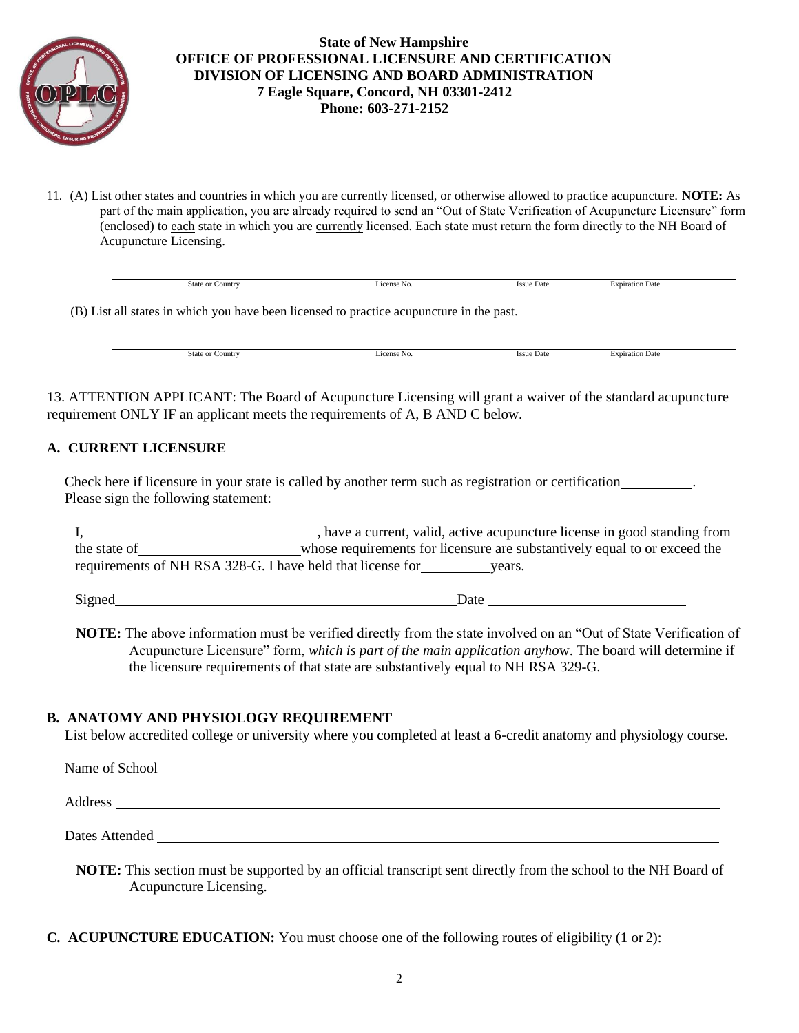

11. (A) List other states and countries in which you are currently licensed, or otherwise allowed to practice acupuncture. **NOTE:** As part of the main application, you are already required to send an "Out of State Verification of Acupuncture Licensure" form (enclosed) to each state in which you are currently licensed. Each state must return the form directly to the NH Board of Acupuncture Licensing.

|                                                                                          | <b>State or Country</b> | License No. | <b>Issue Date</b> | <b>Expiration Date</b> |  |  |
|------------------------------------------------------------------------------------------|-------------------------|-------------|-------------------|------------------------|--|--|
| (B) List all states in which you have been licensed to practice acupuncture in the past. |                         |             |                   |                        |  |  |

State or Country **Expiration Date** License No. Issue Date **Expiration Date** Expiration Date

13. ATTENTION APPLICANT: The Board of Acupuncture Licensing will grant a waiver of the standard acupuncture requirement ONLY IF an applicant meets the requirements of A, B AND C below.

### **A. CURRENT LICENSURE**

Check here if licensure in your state is called by another term such as registration or certification . Please sign the following statement:

I, have a current, valid, active acupuncture license in good standing from the state of whose requirements for licensure are substantively equal to or exceed the requirements of NH RSA 328-G. I have held that license for years.

Signed Date Date

**NOTE:** The above information must be verified directly from the state involved on an "Out of State Verification of Acupuncture Licensure" form, *which is part of the main application anyho*w. The board will determine if the licensure requirements of that state are substantively equal to NH RSA 329-G.

### **B. ANATOMY AND PHYSIOLOGY REQUIREMENT**

List below accredited college or university where you completed at least a 6-credit anatomy and physiology course.

Name of School and  $\mathcal{L}$  is a set of School and  $\mathcal{L}$  is a set of School and  $\mathcal{L}$ Address and the contract of the contract of the contract of the contract of the contract of the contract of the contract of the contract of the contract of the contract of the contract of the contract of the contract of th Dates Attended

- **NOTE:** This section must be supported by an official transcript sent directly from the school to the NH Board of Acupuncture Licensing.
- **C. ACUPUNCTURE EDUCATION:** You must choose one of the following routes of eligibility (1 or 2):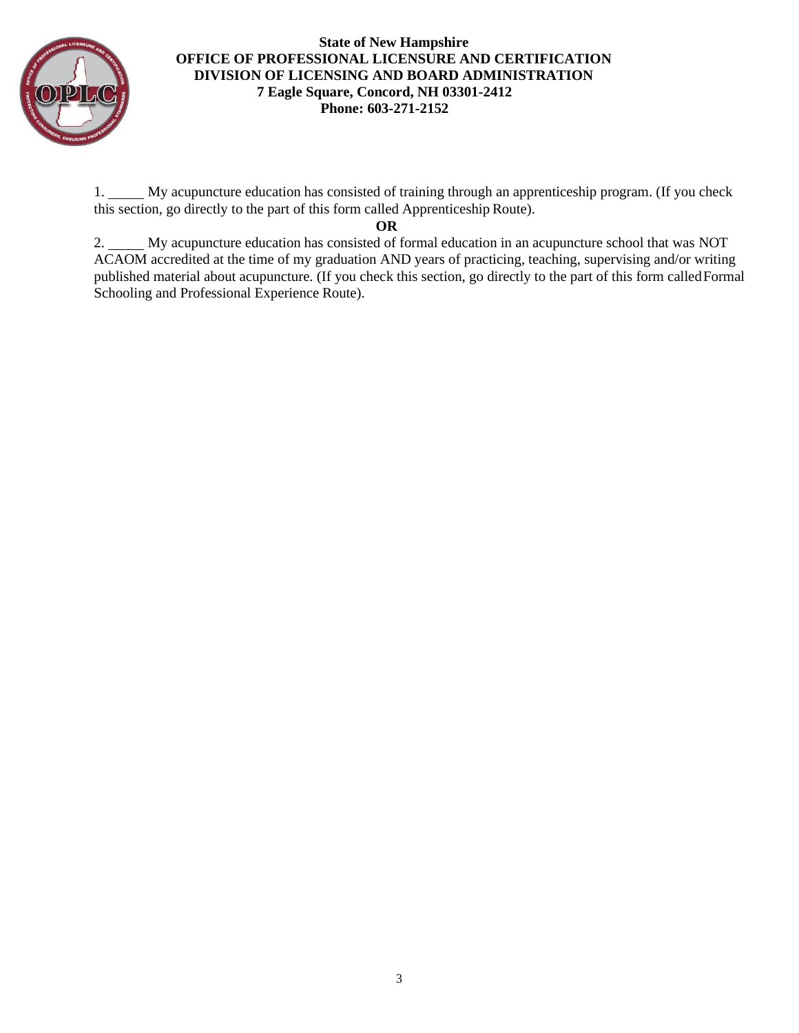

1. My acupuncture education has consisted of training through an apprenticeship program. (If you check this section, go directly to the part of this form called Apprenticeship Route).

### **OR**

2. My acupuncture education has consisted of formal education in an acupuncture school that was NOT ACAOM accredited at the time of my graduation AND years of practicing, teaching, supervising and/or writing published material about acupuncture. (If you check this section, go directly to the part of this form calledFormal Schooling and Professional Experience Route).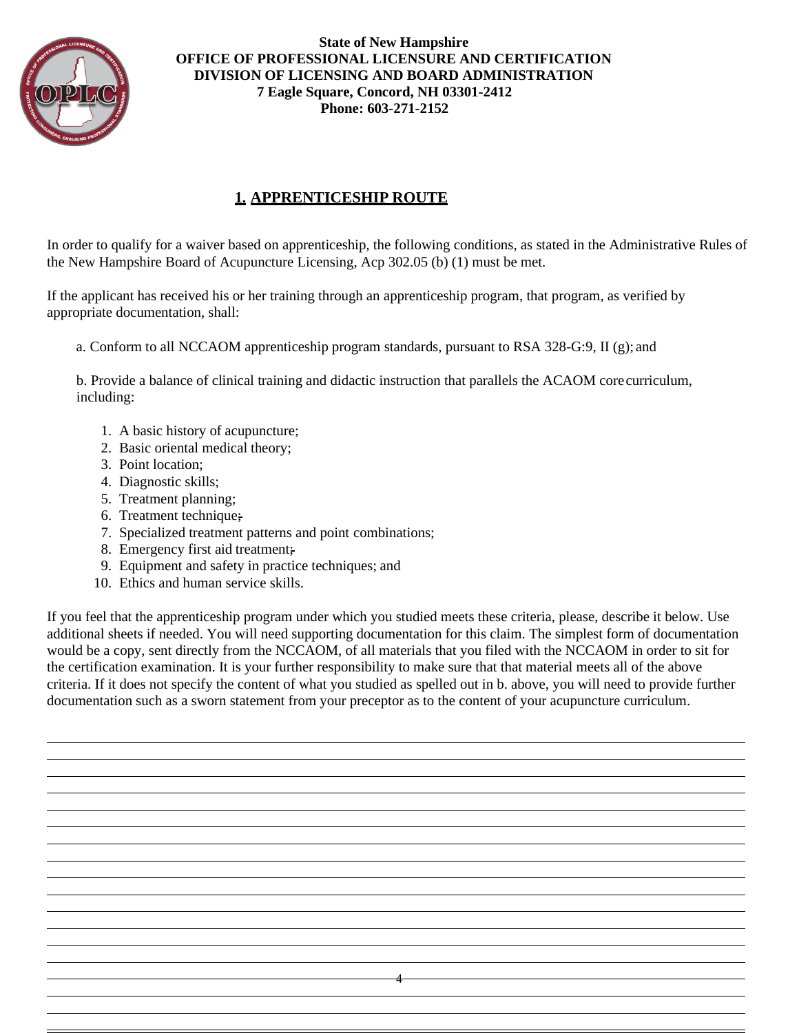

# **1. APPRENTICESHIP ROUTE**

In order to qualify for a waiver based on apprenticeship, the following conditions, as stated in the Administrative Rules of the New Hampshire Board of Acupuncture Licensing, Acp 302.05 (b) (1) must be met.

If the applicant has received his or her training through an apprenticeship program, that program, as verified by appropriate documentation, shall:

a. Conform to all NCCAOM apprenticeship program standards, pursuant to RSA 328-G:9, II (g); and

b. Provide a balance of clinical training and didactic instruction that parallels the ACAOM corecurriculum, including:

- 1. A basic history of acupuncture;
- 2. Basic oriental medical theory;
- 3. Point location;
- 4. Diagnostic skills;
- 5. Treatment planning;
- 6. Treatment technique;
- 7. Specialized treatment patterns and point combinations;
- 8. Emergency first aid treatment;
- 9. Equipment and safety in practice techniques; and
- 10. Ethics and human service skills.

If you feel that the apprenticeship program under which you studied meets these criteria, please, describe it below. Use additional sheets if needed. You will need supporting documentation for this claim. The simplest form of documentation would be a copy, sent directly from the NCCAOM, of all materials that you filed with the NCCAOM in order to sit for the certification examination. It is your further responsibility to make sure that that material meets all of the above criteria. If it does not specify the content of what you studied as spelled out in b. above, you will need to provide further documentation such as a sworn statement from your preceptor as to the content of your acupuncture curriculum.

4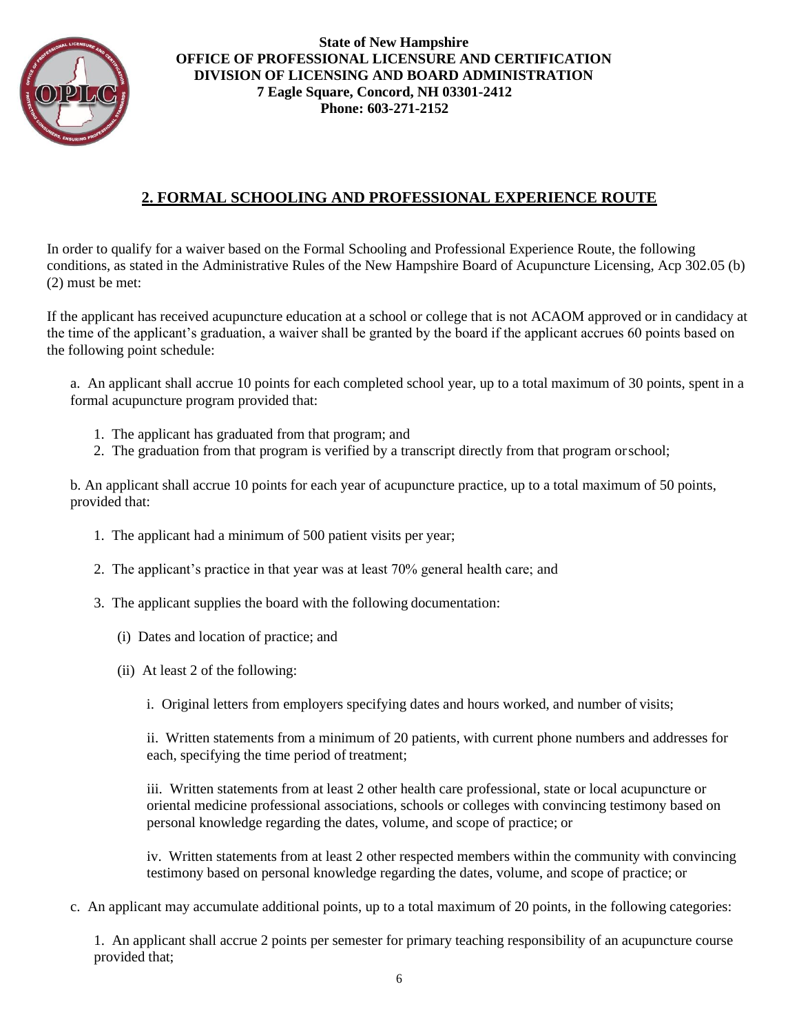

# **2. FORMAL SCHOOLING AND PROFESSIONAL EXPERIENCE ROUTE**

In order to qualify for a waiver based on the Formal Schooling and Professional Experience Route, the following conditions, as stated in the Administrative Rules of the New Hampshire Board of Acupuncture Licensing, Acp 302.05 (b) (2) must be met:

If the applicant has received acupuncture education at a school or college that is not ACAOM approved or in candidacy at the time of the applicant's graduation, a waiver shall be granted by the board if the applicant accrues 60 points based on the following point schedule:

a. An applicant shall accrue 10 points for each completed school year, up to a total maximum of 30 points, spent in a formal acupuncture program provided that:

- 1. The applicant has graduated from that program; and
- 2. The graduation from that program is verified by a transcript directly from that program orschool;

b. An applicant shall accrue 10 points for each year of acupuncture practice, up to a total maximum of 50 points, provided that:

- 1. The applicant had a minimum of 500 patient visits per year;
- 2. The applicant's practice in that year was at least 70% general health care; and
- 3. The applicant supplies the board with the following documentation:
	- (i) Dates and location of practice; and
	- (ii) At least 2 of the following:
		- i. Original letters from employers specifying dates and hours worked, and number of visits;

ii. Written statements from a minimum of 20 patients, with current phone numbers and addresses for each, specifying the time period of treatment;

iii. Written statements from at least 2 other health care professional, state or local acupuncture or oriental medicine professional associations, schools or colleges with convincing testimony based on personal knowledge regarding the dates, volume, and scope of practice; or

iv. Written statements from at least 2 other respected members within the community with convincing testimony based on personal knowledge regarding the dates, volume, and scope of practice; or

c. An applicant may accumulate additional points, up to a total maximum of 20 points, in the following categories:

1. An applicant shall accrue 2 points per semester for primary teaching responsibility of an acupuncture course provided that;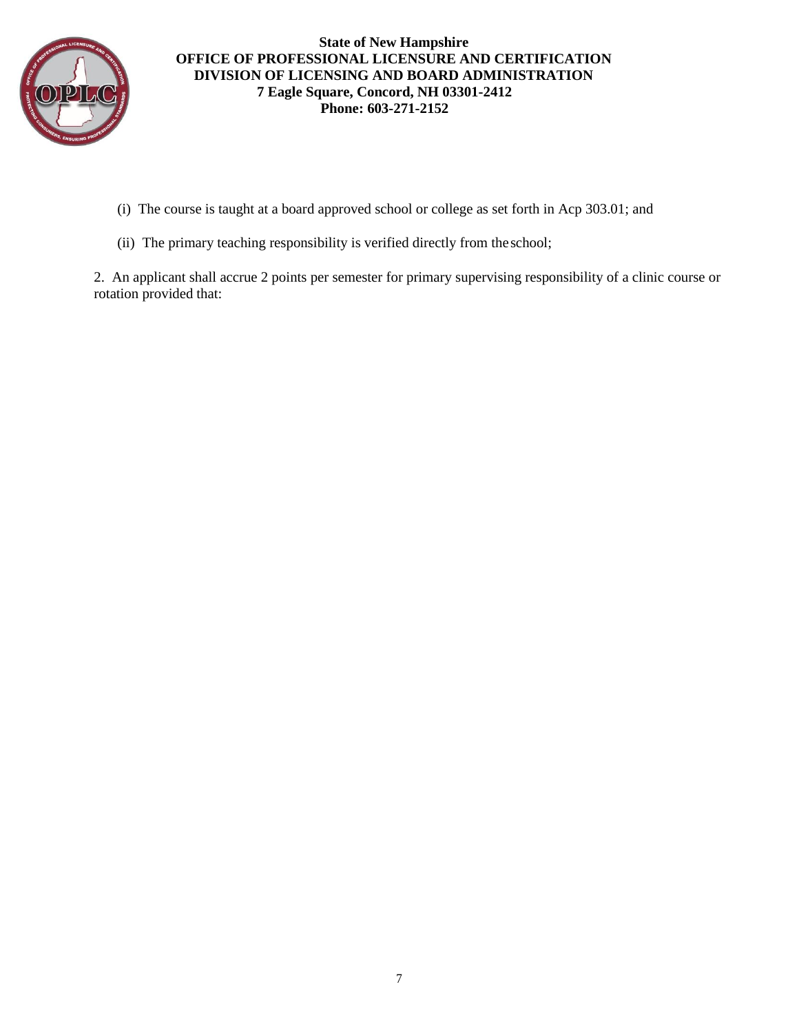

- (i) The course is taught at a board approved school or college as set forth in Acp 303.01; and
- (ii) The primary teaching responsibility is verified directly from theschool;

2. An applicant shall accrue 2 points per semester for primary supervising responsibility of a clinic course or rotation provided that: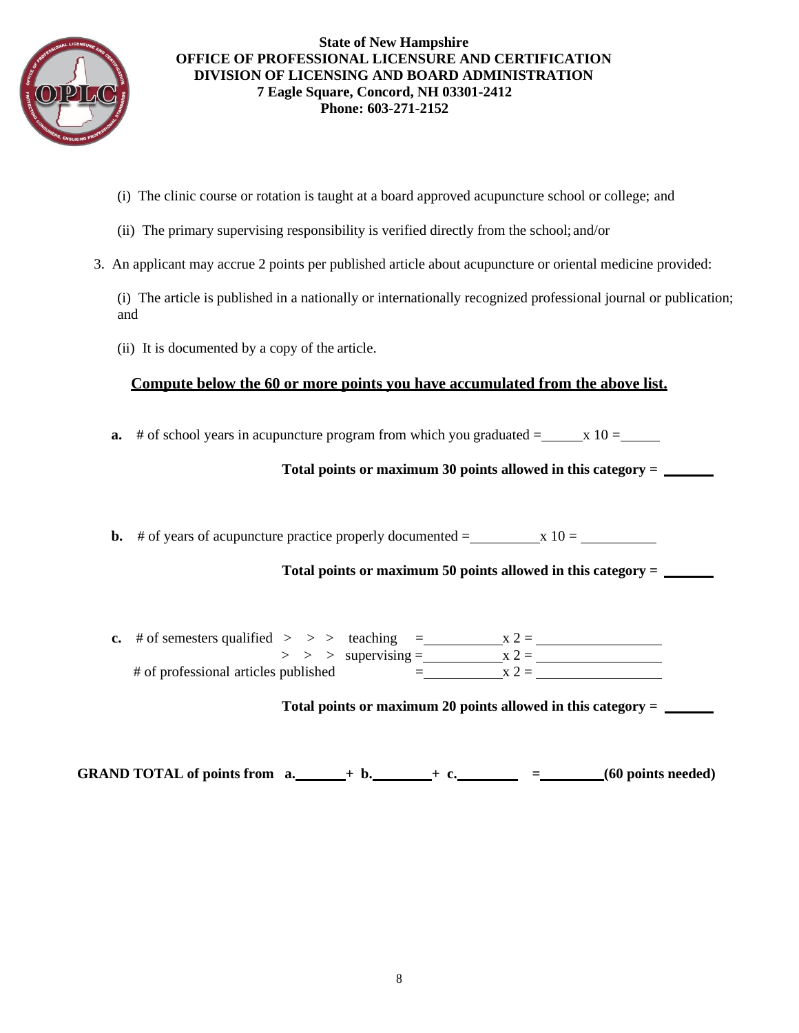

- (i) The clinic course or rotation is taught at a board approved acupuncture school or college; and
- (ii) The primary supervising responsibility is verified directly from the school; and/or
- 3. An applicant may accrue 2 points per published article about acupuncture or oriental medicine provided:

(i) The article is published in a nationally or internationally recognized professional journal or publication; and

(ii) It is documented by a copy of the article.

### **Compute below the 60 or more points you have accumulated from the above list.**

**a.** # of school years in acupuncture program from which you graduated  $=$   $x 10 =$ 

**Total points or maximum 30 points allowed in this category =** 

**b.** # of years of acupuncture practice properly documented =  $\bf{x}$  10 =

**Total points or maximum 50 points allowed in this category =** 

**c.** # of semesters qualified  $>$  > > teaching =  $x 2 =$ > > > supervising = x 2 = # of professional articles published  $=$   $x 2 =$ 

**Total points or maximum 20 points allowed in this category =** 

**GRAND TOTAL of points from**  $a_1 + b_2 + c_3 = (60 \text{ points needed})$